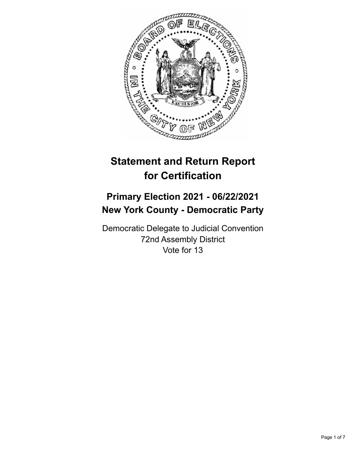

# **Statement and Return Report for Certification**

# **Primary Election 2021 - 06/22/2021 New York County - Democratic Party**

Democratic Delegate to Judicial Convention 72nd Assembly District Vote for 13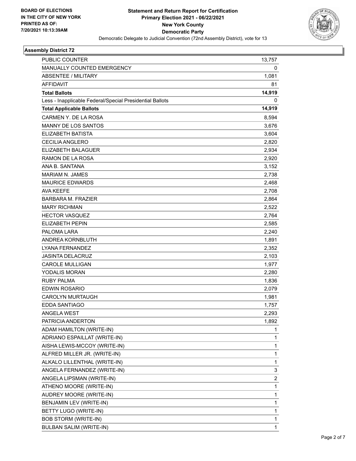

## **Assembly District 72**

| PUBLIC COUNTER                                           | 13,757       |
|----------------------------------------------------------|--------------|
| MANUALLY COUNTED EMERGENCY                               | 0            |
| <b>ABSENTEE / MILITARY</b>                               | 1,081        |
| <b>AFFIDAVIT</b>                                         | 81           |
| <b>Total Ballots</b>                                     | 14,919       |
| Less - Inapplicable Federal/Special Presidential Ballots | 0            |
| <b>Total Applicable Ballots</b>                          | 14,919       |
| CARMEN Y. DE LA ROSA                                     | 8,594        |
| <b>MANNY DE LOS SANTOS</b>                               | 3,676        |
| <b>ELIZABETH BATISTA</b>                                 | 3,604        |
| <b>CECILIA ANGLERO</b>                                   | 2,820        |
| <b>ELIZABETH BALAGUER</b>                                | 2,934        |
| RAMON DE LA ROSA                                         | 2,920        |
| ANA B. SANTANA                                           | 3,152        |
| <b>MARIAM N. JAMES</b>                                   | 2,738        |
| <b>MAURICE EDWARDS</b>                                   | 2,468        |
| AVA KEEFE                                                | 2,708        |
| <b>BARBARA M. FRAZIER</b>                                | 2,864        |
| <b>MARY RICHMAN</b>                                      | 2,522        |
| <b>HECTOR VASQUEZ</b>                                    | 2,764        |
| <b>ELIZABETH PEPIN</b>                                   | 2,585        |
| PALOMA LARA                                              | 2,240        |
| ANDREA KORNBLUTH                                         | 1,891        |
| <b>LYANA FERNANDEZ</b>                                   | 2,352        |
| <b>JASINTA DELACRUZ</b>                                  | 2,103        |
| <b>CAROLE MULLIGAN</b>                                   | 1,977        |
| <b>YODALIS MORAN</b>                                     | 2,280        |
| <b>RUBY PALMA</b>                                        | 1,836        |
| <b>EDWIN ROSARIO</b>                                     | 2,079        |
| <b>CAROLYN MURTAUGH</b>                                  | 1,981        |
| <b>EDDA SANTIAGO</b>                                     | 1,757        |
| <b>ANGELA WEST</b>                                       | 2,293        |
| PATRICIA ANDERTON                                        | 1,892        |
| ADAM HAMILTON (WRITE-IN)                                 | 1            |
| ADRIANO ESPAILLAT (WRITE-IN)                             | $\mathbf{1}$ |
| AISHA LEWIS-MCCOY (WRITE-IN)                             | 1            |
| ALFRED MILLER JR. (WRITE-IN)                             | 1            |
| ALKALO LILLENTHAL (WRITE-IN)                             | $\mathbf{1}$ |
| ANGELA FERNANDEZ (WRITE-IN)                              | 3            |
| ANGELA LIPSMAN (WRITE-IN)                                | 2            |
| ATHENO MOORE (WRITE-IN)                                  | $\mathbf{1}$ |
| AUDREY MOORE (WRITE-IN)                                  | $\mathbf{1}$ |
| BENJAMIN LEV (WRITE-IN)                                  | 1            |
| BETTY LUGO (WRITE-IN)                                    | $\mathbf{1}$ |
| <b>BOB STORM (WRITE-IN)</b>                              | 1            |
| BULBAN SALIM (WRITE-IN)                                  | $\mathbf{1}$ |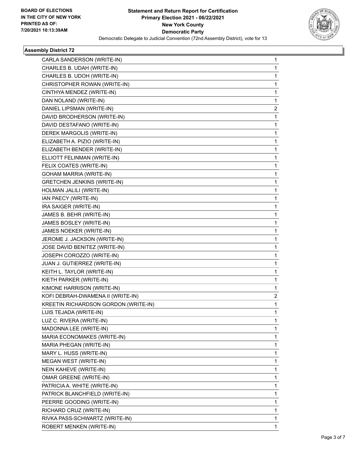

## **Assembly District 72**

| CARLA SANDERSON (WRITE-IN)           | 1            |
|--------------------------------------|--------------|
| CHARLES B. UDAH (WRITE-IN)           | 1            |
| CHARLES B. UDOH (WRITE-IN)           | 1            |
| CHRISTOPHER ROWAN (WRITE-IN)         | 1            |
| CINTHYA MENDEZ (WRITE-IN)            | 1            |
| DAN NOLAND (WRITE-IN)                | 1            |
| DANIEL LIPSMAN (WRITE-IN)            | 2            |
| DAVID BRODHERSON (WRITE-IN)          | $\mathbf{1}$ |
| DAVID DESTAFANO (WRITE-IN)           | 1            |
| DEREK MARGOLIS (WRITE-IN)            | 1            |
| ELIZABETH A. PIZIO (WRITE-IN)        | 1            |
| ELIZABETH BENDER (WRITE-IN)          | 1            |
| ELLIOTT FELINMAN (WRITE-IN)          | 1            |
| FELIX COATES (WRITE-IN)              | 1            |
| <b>GOHAM MARRIA (WRITE-IN)</b>       | 1            |
| <b>GRETCHEN JENKINS (WRITE-IN)</b>   | 1            |
| HOLMAN JALILI (WRITE-IN)             | 1            |
| IAN PAECY (WRITE-IN)                 | 1            |
| IRA SAIGER (WRITE-IN)                | 1            |
| JAMES B. BEHR (WRITE-IN)             | 1            |
| JAMES BOSLEY (WRITE-IN)              | 1            |
| JAMES NOEKER (WRITE-IN)              | 1            |
| JEROME J. JACKSON (WRITE-IN)         | 1            |
| JOSE DAVID BENITEZ (WRITE-IN)        | 1            |
| JOSEPH COROZZO (WRITE-IN)            | 1            |
| JUAN J. GUTIERREZ (WRITE-IN)         | 1            |
| KEITH L. TAYLOR (WRITE-IN)           | 1            |
| KIETH PARKER (WRITE-IN)              | 1            |
| KIMONE HARRISON (WRITE-IN)           | 1            |
| KOFI DEBRAH-DWAMENA II (WRITE-IN)    | 2            |
| KREETIN RICHARDSON GORDON (WRITE-IN) | 1            |
| LUIS TEJADA (WRITE-IN)               | 1            |
| LUZ C. RIVERA (WRITE-IN)             | 1            |
| MADONNA LEE (WRITE-IN)               | 1            |
| MARIA ECONOMAKES (WRITE-IN)          | 1            |
| MARIA PHEGAN (WRITE-IN)              | 1            |
| MARY L. HUSS (WRITE-IN)              | 1            |
| MEGAN WEST (WRITE-IN)                | 1            |
| NEIN KAHEVE (WRITE-IN)               | 1            |
| OMAR GREENE (WRITE-IN)               | 1            |
| PATRICIA A. WHITE (WRITE-IN)         | 1            |
| PATRICK BLANCHFIELD (WRITE-IN)       | 1            |
| PEERRE GOODING (WRITE-IN)            | 1            |
| RICHARD CRUZ (WRITE-IN)              | 1            |
| RIVKA PASS-SCHWARTZ (WRITE-IN)       | 1            |
| ROBERT MENKEN (WRITE-IN)             | 1            |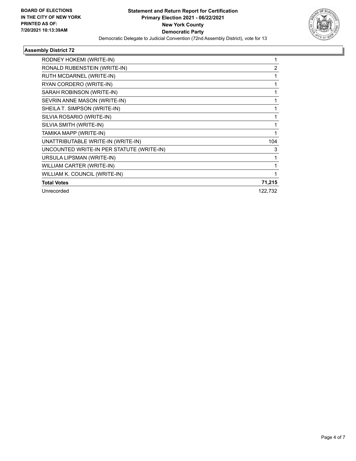

## **Assembly District 72**

| RODNEY HOKEMI (WRITE-IN)                  |                |
|-------------------------------------------|----------------|
| RONALD RUBENSTEIN (WRITE-IN)              | $\overline{2}$ |
| RUTH MCDARNEL (WRITE-IN)                  |                |
| RYAN CORDERO (WRITE-IN)                   |                |
| SARAH ROBINSON (WRITE-IN)                 |                |
| SEVRIN ANNE MASON (WRITE-IN)              |                |
| SHEILA T. SIMPSON (WRITE-IN)              |                |
| SILVIA ROSARIO (WRITE-IN)                 |                |
| SILVIA SMITH (WRITE-IN)                   |                |
| TAMIKA MAPP (WRITE-IN)                    | 1              |
| UNATTRIBUTABLE WRITE-IN (WRITE-IN)        | 104            |
| UNCOUNTED WRITE-IN PER STATUTE (WRITE-IN) | 3              |
| URSULA LIPSMAN (WRITE-IN)                 |                |
| WILLIAM CARTER (WRITE-IN)                 |                |
| WILLIAM K. COUNCIL (WRITE-IN)             |                |
| <b>Total Votes</b>                        | 71,215         |
| Unrecorded                                | 122,732        |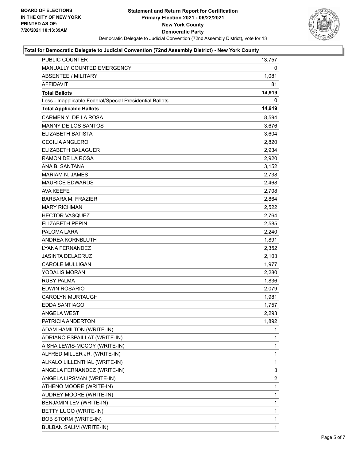

## **Total for Democratic Delegate to Judicial Convention (72nd Assembly District) - New York County**

| <b>PUBLIC COUNTER</b>                                    | 13,757       |
|----------------------------------------------------------|--------------|
| MANUALLY COUNTED EMERGENCY                               | 0            |
| <b>ABSENTEE / MILITARY</b>                               | 1,081        |
| <b>AFFIDAVIT</b>                                         | 81           |
| <b>Total Ballots</b>                                     | 14,919       |
| Less - Inapplicable Federal/Special Presidential Ballots | 0            |
| <b>Total Applicable Ballots</b>                          | 14,919       |
| CARMEN Y. DE LA ROSA                                     | 8,594        |
| <b>MANNY DE LOS SANTOS</b>                               | 3,676        |
| <b>ELIZABETH BATISTA</b>                                 | 3,604        |
| <b>CECILIA ANGLERO</b>                                   | 2,820        |
| ELIZABETH BALAGUER                                       | 2,934        |
| RAMON DE LA ROSA                                         | 2,920        |
| ANA B. SANTANA                                           | 3,152        |
| MARIAM N. JAMES                                          | 2,738        |
| <b>MAURICE EDWARDS</b>                                   | 2,468        |
| AVA KEEFE                                                | 2,708        |
| <b>BARBARA M. FRAZIER</b>                                | 2,864        |
| <b>MARY RICHMAN</b>                                      | 2,522        |
| <b>HECTOR VASQUEZ</b>                                    | 2,764        |
| ELIZABETH PEPIN                                          | 2,585        |
| PALOMA LARA                                              | 2,240        |
| ANDREA KORNBLUTH                                         | 1,891        |
| LYANA FERNANDEZ                                          | 2,352        |
| JASINTA DELACRUZ                                         | 2,103        |
| <b>CAROLE MULLIGAN</b>                                   | 1,977        |
| YODALIS MORAN                                            | 2,280        |
| <b>RUBY PALMA</b>                                        | 1,836        |
| <b>EDWIN ROSARIO</b>                                     | 2,079        |
| <b>CAROLYN MURTAUGH</b>                                  | 1,981        |
| <b>EDDA SANTIAGO</b>                                     | 1,757        |
| <b>ANGELA WEST</b>                                       | 2,293        |
| PATRICIA ANDERTON                                        | 1,892        |
| ADAM HAMILTON (WRITE-IN)                                 | 1            |
| ADRIANO ESPAILLAT (WRITE-IN)                             | 1            |
| AISHA LEWIS-MCCOY (WRITE-IN)                             | 1            |
| ALFRED MILLER JR. (WRITE-IN)                             | $\mathbf{1}$ |
| ALKALO LILLENTHAL (WRITE-IN)                             | 1            |
| ANGELA FERNANDEZ (WRITE-IN)                              | 3            |
| ANGELA LIPSMAN (WRITE-IN)                                | 2            |
| ATHENO MOORE (WRITE-IN)                                  | 1            |
| AUDREY MOORE (WRITE-IN)                                  | 1            |
| BENJAMIN LEV (WRITE-IN)                                  | 1            |
| BETTY LUGO (WRITE-IN)                                    | 1            |
| <b>BOB STORM (WRITE-IN)</b>                              | 1            |
| <b>BULBAN SALIM (WRITE-IN)</b>                           | $\mathbf{1}$ |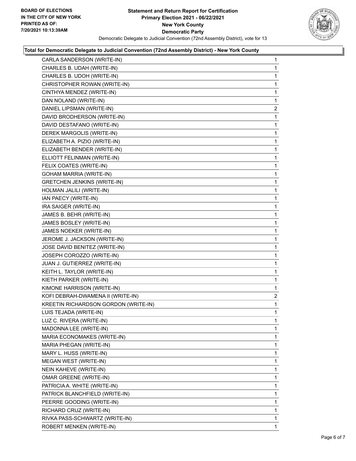

#### **Total for Democratic Delegate to Judicial Convention (72nd Assembly District) - New York County**

| CARLA SANDERSON (WRITE-IN)           | $\mathbf{1}$   |
|--------------------------------------|----------------|
| CHARLES B. UDAH (WRITE-IN)           | 1              |
| CHARLES B. UDOH (WRITE-IN)           | 1              |
| CHRISTOPHER ROWAN (WRITE-IN)         | 1              |
| CINTHYA MENDEZ (WRITE-IN)            | 1              |
| DAN NOLAND (WRITE-IN)                | 1              |
| DANIEL LIPSMAN (WRITE-IN)            | $\overline{2}$ |
| DAVID BRODHERSON (WRITE-IN)          | 1              |
| DAVID DESTAFANO (WRITE-IN)           | 1              |
| DEREK MARGOLIS (WRITE-IN)            | 1              |
| ELIZABETH A. PIZIO (WRITE-IN)        | 1              |
| ELIZABETH BENDER (WRITE-IN)          | 1              |
| ELLIOTT FELINMAN (WRITE-IN)          | 1              |
| FELIX COATES (WRITE-IN)              | 1              |
| <b>GOHAM MARRIA (WRITE-IN)</b>       | 1              |
| <b>GRETCHEN JENKINS (WRITE-IN)</b>   | 1              |
| HOLMAN JALILI (WRITE-IN)             | 1              |
| IAN PAECY (WRITE-IN)                 | 1              |
| IRA SAIGER (WRITE-IN)                | 1              |
| JAMES B. BEHR (WRITE-IN)             | 1              |
| JAMES BOSLEY (WRITE-IN)              | 1              |
| JAMES NOEKER (WRITE-IN)              | 1              |
| JEROME J. JACKSON (WRITE-IN)         | 1              |
| JOSE DAVID BENITEZ (WRITE-IN)        | 1              |
| JOSEPH COROZZO (WRITE-IN)            | 1              |
| JUAN J. GUTIERREZ (WRITE-IN)         | 1              |
| KEITH L. TAYLOR (WRITE-IN)           | 1              |
| KIETH PARKER (WRITE-IN)              | 1              |
| KIMONE HARRISON (WRITE-IN)           | 1              |
| KOFI DEBRAH-DWAMENA II (WRITE-IN)    | $\overline{a}$ |
| KREETIN RICHARDSON GORDON (WRITE-IN) | 1              |
| LUIS TEJADA (WRITE-IN)               | 1              |
| LUZ C. RIVERA (WRITE-IN)             | 1              |
| MADONNA LEE (WRITE-IN)               | 1              |
| MARIA ECONOMAKES (WRITE-IN)          | 1              |
| MARIA PHEGAN (WRITE-IN)              | 1              |
| MARY L. HUSS (WRITE-IN)              | 1              |
| MEGAN WEST (WRITE-IN)                | 1              |
| NEIN KAHEVE (WRITE-IN)               | 1              |
| <b>OMAR GREENE (WRITE-IN)</b>        | 1              |
| PATRICIA A. WHITE (WRITE-IN)         | 1              |
| PATRICK BLANCHFIELD (WRITE-IN)       | 1              |
| PEERRE GOODING (WRITE-IN)            | 1              |
| RICHARD CRUZ (WRITE-IN)              | 1              |
| RIVKA PASS-SCHWARTZ (WRITE-IN)       | 1              |
| ROBERT MENKEN (WRITE-IN)             | 1.             |
|                                      |                |